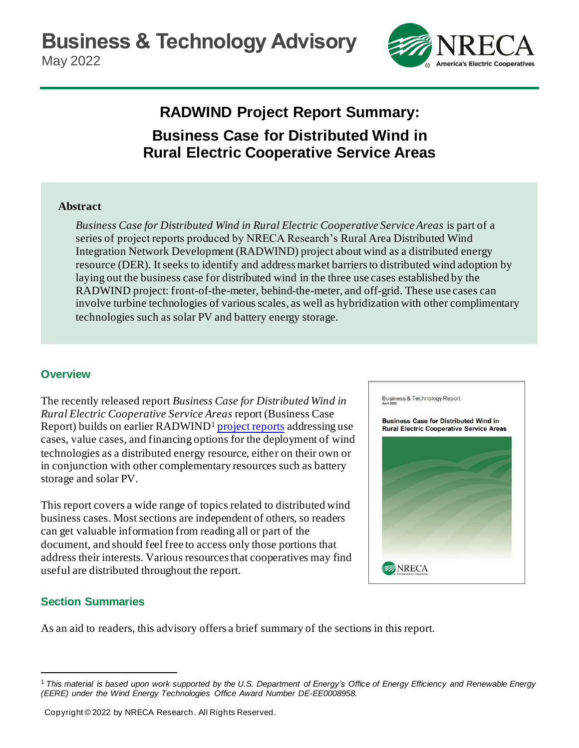

# **RADWIND Project Report Summary: Business Case for Distributed Wind in Rural Electric Cooperative Service Areas**

#### **Abstract**

*Business Case for Distributed Wind in Rural Electric Cooperative Service Areas* is part of a series of project reports produced by NRECA Research's Rural Area Distributed Wind Integration Network Development (RADWIND) project about wind as a distributed energy resource (DER). It seeks to identify and address market barriers to distributed wind adoption by laying out the business case for distributed wind in the three use cases established by the RADWIND project: front-of-the-meter, behind-the-meter, and off-grid. These use cases can involve turbine technologies of various scales, as well as hybridization with other complimentary technologies such as solar PV and battery energy storage.

#### **Overview**

The recently released report *Business Case for Distributed Wind in Rural Electric Cooperative Service Areas* report (Business Case Report) builds on earlier RADWIND<sup>1</sup> [project reports](https://www.cooperative.com/programs-services/bts/radwind/Pages/default.aspx) addressing use cases, value cases, and financing options for the deployment of wind technologies as a distributed energy resource, either on their own or in conjunction with other complementary resources such as battery storage and solar PV.

This report covers a wide range of topics related to distributed wind business cases. Most sections are independent of others, so readers can get valuable information from reading all or part of the document, and should feel free to access only those portions that address their interests. Various resources that cooperatives may find useful are distributed throughout the report.

# **Section Summaries**

As an aid to readers, this advisory offers a brief summary of the sections in this report.



 $^1$  This material is based upon work supported by the U.S. Department of Energy's Office of Energy Efficiency and Renewable Energy *(EERE) under the Wind Energy Technologies Office Award Number DE-EE0008958.*

Copyright © 2022 by NRECA Research. All Rights Reserved.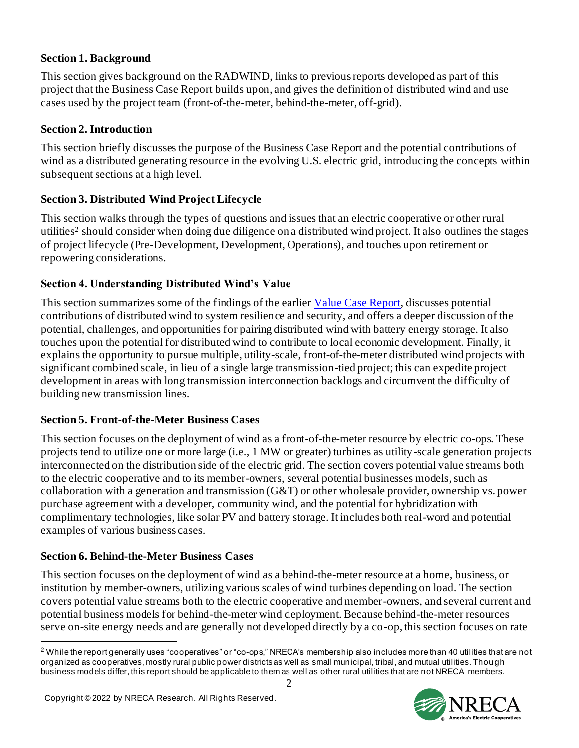#### **Section 1. Background**

This section gives background on the RADWIND, links to previous reports developed as part of this project that the Business Case Report builds upon, and gives the definition of distributed wind and use cases used by the project team (front-of-the-meter, behind-the-meter, off-grid).

### **Section 2. Introduction**

This section briefly discusses the purpose of the Business Case Report and the potential contributions of wind as a distributed generating resource in the evolving U.S. electric grid, introducing the concepts within subsequent sections at a high level.

### **Section 3. Distributed Wind Project Lifecycle**

This section walks through the types of questions and issues that an electric cooperative or other rural utilities<sup>2</sup> should consider when doing due diligence on a distributed wind project. It also outlines the stages of project lifecycle (Pre-Development, Development, Operations), and touches upon retirement or repowering considerations.

#### **Section 4. Understanding Distributed Wind's Value**

This section summarizes some of the findings of the earlie[r Value Case Report](https://www.cooperative.com/programs-services/bts/radwind/Pages/RADWIND-Report-Value-Case-for-Distributed-Wind.aspx), discusses potential contributions of distributed wind to system resilience and security, and offers a deeper discussion of the potential, challenges, and opportunities for pairing distributed wind with battery energy storage. It also touches upon the potential for distributed wind to contribute to local economic development. Finally, it explains the opportunity to pursue multiple, utility-scale, front-of-the-meter distributed wind projects with significant combined scale, in lieu of a single large transmission-tied project; this can expedite project development in areas with long transmission interconnection backlogs and circumvent the difficulty of building new transmission lines.

#### **Section 5. Front-of-the-Meter Business Cases**

This section focuses on the deployment of wind as a front-of-the-meter resource by electric co-ops. These projects tend to utilize one or more large (i.e., 1 MW or greater) turbines as utility-scale generation projects interconnected on the distribution side of the electric grid. The section covers potential value streams both to the electric cooperative and to its member-owners, several potential businesses models, such as collaboration with a generation and transmission  $(G&T)$  or other wholesale provider, ownership vs. power purchase agreement with a developer, community wind, and the potential for hybridization with complimentary technologies, like solar PV and battery storage. It includes both real-word and potential examples of various business cases.

#### **Section 6. Behind-the-Meter Business Cases**

This section focuses on the deployment of wind as a behind-the-meter resource at a home, business, or institution by member-owners, utilizing various scales of wind turbines depending on load. The section covers potential value streams both to the electric cooperative and member-owners, and several current and potential business models for behind-the-meter wind deployment. Because behind-the-meter resources serve on-site energy needs and are generally not developed directly by a co-op, this section focuses on rate

<sup>&</sup>lt;sup>2</sup> While the report generally uses "cooperatives" or "co-ops," NRECA's membership also includes more than 40 utilities that are not organized as cooperatives, mostly rural public power districts as well as small municipal, tribal, and mutual utilities. Though business models differ, this report should be applicable to them as well as other rural utilities that are not NRECA members.